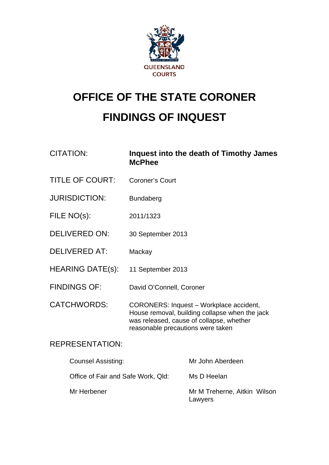

# **OFFICE OF THE STATE CORONER FINDINGS OF INQUEST**

| <b>CITATION:</b>        | Inquest into the death of Timothy James<br><b>McPhee</b>                                                                                                                   |
|-------------------------|----------------------------------------------------------------------------------------------------------------------------------------------------------------------------|
| <b>TITLE OF COURT:</b>  | <b>Coroner's Court</b>                                                                                                                                                     |
| <b>JURISDICTION:</b>    | <b>Bundaberg</b>                                                                                                                                                           |
| FILE NO(s):             | 2011/1323                                                                                                                                                                  |
| <b>DELIVERED ON:</b>    | 30 September 2013                                                                                                                                                          |
| <b>DELIVERED AT:</b>    | Mackay                                                                                                                                                                     |
| <b>HEARING DATE(s):</b> | 11 September 2013                                                                                                                                                          |
| <b>FINDINGS OF:</b>     | David O'Connell, Coroner                                                                                                                                                   |
| <b>CATCHWORDS:</b>      | CORONERS: Inquest - Workplace accident,<br>House removal, building collapse when the jack<br>was released, cause of collapse, whether<br>reasonable precautions were taken |
|                         |                                                                                                                                                                            |

# REPRESENTATION:

| <b>Counsel Assisting:</b>          | Mr John Aberdeen                        |
|------------------------------------|-----------------------------------------|
| Office of Fair and Safe Work, Qld: | Ms D Heelan                             |
| Mr Herbener                        | Mr M Treherne, Aitkin Wilson<br>Lawyers |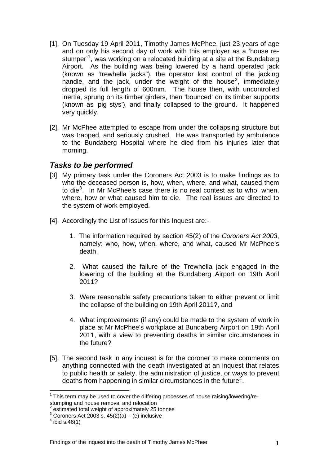- [1]. On Tuesday 19 April 2011, Timothy James McPhee, just 23 years of age and on only his second day of work with this employer as a 'house re-stumper<sup>[1](#page-1-0)</sup>, was working on a relocated building at a site at the Bundaberg Airport. As the building was being lowered by a hand operated jack (known as 'trewhella jacks"), the operator lost control of the jacking handle, and the jack, under the weight of the house<sup>[2](#page-1-1)</sup>, immediately dropped its full length of 600mm. The house then, with uncontrolled inertia, sprung on its timber girders, then 'bounced' on its timber supports (known as 'pig stys'), and finally collapsed to the ground. It happened very quickly.
- [2]. Mr McPhee attempted to escape from under the collapsing structure but was trapped, and seriously crushed. He was transported by ambulance to the Bundaberg Hospital where he died from his injuries later that morning.

#### *Tasks to be performed*

- [3]. My primary task under the Coroners Act 2003 is to make findings as to who the deceased person is, how, when, where, and what, caused them to die $3$ . In Mr McPhee's case there is no real contest as to who, when, where, how or what caused him to die. The real issues are directed to the system of work employed.
- [4]. Accordingly the List of Issues for this Inquest are:-
	- 1. The information required by section 45(2) of the *Coroners Act 2003*, namely: who, how, when, where, and what, caused Mr McPhee's death,
	- 2. What caused the failure of the Trewhella jack engaged in the lowering of the building at the Bundaberg Airport on 19th April 2011?
	- 3. Were reasonable safety precautions taken to either prevent or limit the collapse of the building on 19th April 2011?, and
	- 4. What improvements (if any) could be made to the system of work in place at Mr McPhee's workplace at Bundaberg Airport on 19th April 2011, with a view to preventing deaths in similar circumstances in the future?
- [5]. The second task in any inquest is for the coroner to make comments on anything connected with the death investigated at an inquest that relates to public health or safety, the administration of justice, or ways to prevent deaths from happening in similar circumstances in the future<sup>[4](#page-1-3)</sup>.

<span id="page-1-4"></span><u>.</u>

<span id="page-1-0"></span> $1$  This term may be used to cover the differing processes of house raising/lowering/restumping and house removal and relocation

<span id="page-1-1"></span><sup>&</sup>lt;sup>2</sup> estimated total weight of approximately 25 tonnes

<span id="page-1-2"></span> $3$  Coroners Act 2003 s. 45(2)(a) – (e) inclusive

<span id="page-1-3"></span> $4$  ibid s.46(1)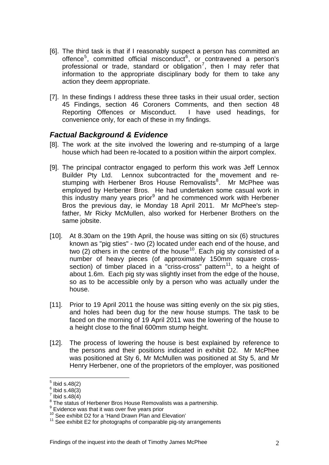- [6]. The third task is that if I reasonably suspect a person has committed an offence<sup>[5](#page-1-4)</sup>, committed official misconduct<sup>[6](#page-2-0)</sup>, or contravened a person's professional or trade, standard or obligation<sup>[7](#page-2-1)</sup>, then I may refer that information to the appropriate disciplinary body for them to take any action they deem appropriate.
- [7]. In these findings I address these three tasks in their usual order, section 45 Findings, section 46 Coroners Comments, and then section 48 Reporting Offences or Misconduct. I have used headings, for convenience only, for each of these in my findings.

## *Factual Background & Evidence*

- [8]. The work at the site involved the lowering and re-stumping of a large house which had been re-located to a position within the airport complex.
- [9]. The principal contractor engaged to perform this work was Jeff Lennox Builder Pty Ltd. Lennox subcontracted for the movement and re-stumping with Herbener Bros House Removalists<sup>[8](#page-2-2)</sup>. Mr McPhee was employed by Herbener Bros. He had undertaken some casual work in this industry many years prior<sup>[9](#page-2-3)</sup> and he commenced work with Herbener Bros the previous day, ie Monday 18 April 2011. Mr McPhee's stepfather, Mr Ricky McMullen, also worked for Herbener Brothers on the same jobsite.
- [10]. At 8.30am on the 19th April, the house was sitting on six (6) structures known as "pig sties" - two (2) located under each end of the house, and two (2) others in the centre of the house<sup>[10](#page-2-4)</sup>. Each pig sty consisted of a number of heavy pieces (of approximately 150mm square cross-section) of timber placed in a "criss-cross" pattern<sup>[11](#page-2-5)</sup>, to a height of about 1.6m. Each pig sty was slightly inset from the edge of the house, so as to be accessible only by a person who was actually under the house.
- [11]. Prior to 19 April 2011 the house was sitting evenly on the six pig sties, and holes had been dug for the new house stumps. The task to be faced on the morning of 19 April 2011 was the lowering of the house to a height close to the final 600mm stump height.
- [12]. The process of lowering the house is best explained by reference to the persons and their positions indicated in exhibit D2. Mr McPhee was positioned at Sty 6, Mr McMullen was positioned at Sty 5, and Mr Henry Herbener, one of the proprietors of the employer, was positioned

 $\frac{1}{5}$  Ibid s.48(2)

<span id="page-2-0"></span> $6$  Ibid s.48 $(3)$ 

<span id="page-2-1"></span> $\frac{7}{1}$  Ibid s.48(4)

<span id="page-2-2"></span><sup>&</sup>lt;sup>8</sup> The status of Herbener Bros House Removalists was a partnership.

<span id="page-2-3"></span> $9$  Evidence was that it was over five years prior

<span id="page-2-4"></span><sup>&</sup>lt;sup>10</sup> See exhibit D2 for a 'Hand Drawn Plan and Elevation'

<span id="page-2-5"></span> $11$  See exhibit E2 for photographs of comparable pig-sty arrangements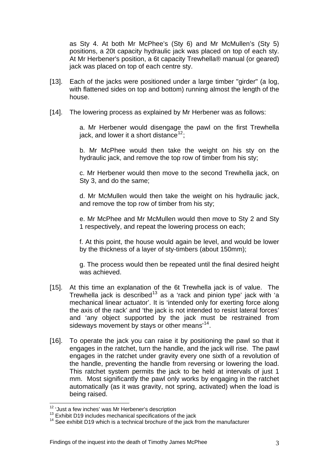as Sty 4. At both Mr McPhee's (Sty 6) and Mr McMullen's (Sty 5) positions, a 20t capacity hydraulic jack was placed on top of each sty. At Mr Herbener's position, a 6t capacity Trewhella® manual (or geared) jack was placed on top of each centre sty.

- [13]. Each of the jacks were positioned under a large timber "girder" (a log, with flattened sides on top and bottom) running almost the length of the house.
- [14]. The lowering process as explained by Mr Herbener was as follows:

a. Mr Herbener would disengage the pawl on the first Trewhella jack, and lower it a short distance<sup>[12](#page-2-3)</sup>:

b. Mr McPhee would then take the weight on his sty on the hydraulic jack, and remove the top row of timber from his sty;

c. Mr Herbener would then move to the second Trewhella jack, on Sty 3, and do the same;

d. Mr McMullen would then take the weight on his hydraulic jack, and remove the top row of timber from his sty;

e. Mr McPhee and Mr McMullen would then move to Sty 2 and Sty 1 respectively, and repeat the lowering process on each;

f. At this point, the house would again be level, and would be lower by the thickness of a layer of sty-timbers (about 150mm);

g. The process would then be repeated until the final desired height was achieved.

- [15]. At this time an explanation of the 6t Trewhella jack is of value. The Trewhella jack is described<sup>[13](#page-3-0)</sup> as a 'rack and pinion type' jack with 'a mechanical linear actuator'. It is 'intended only for exerting force along the axis of the rack' and 'the jack is not intended to resist lateral forces' and 'any object supported by the jack must be restrained from sideways movement by stays or other means'[14](#page-3-1).
- [16]. To operate the jack you can raise it by positioning the pawl so that it engages in the ratchet, turn the handle, and the jack will rise. The pawl engages in the ratchet under gravity every one sixth of a revolution of the handle, preventing the handle from reversing or lowering the load. This ratchet system permits the jack to be held at intervals of just 1 mm. Most significantly the pawl only works by engaging in the ratchet automatically (as it was gravity, not spring, activated) when the load is being raised.

<span id="page-3-2"></span><sup>1</sup> 

<span id="page-3-1"></span><span id="page-3-0"></span>

<sup>&</sup>lt;sup>12</sup> 'Just a few inches' was Mr Herbener's description<br><sup>13</sup> Exhibit D19 includes mechanical specifications of the jack  $14$  See exhibit D19 which is a technical brochure of the jack from the manufacturer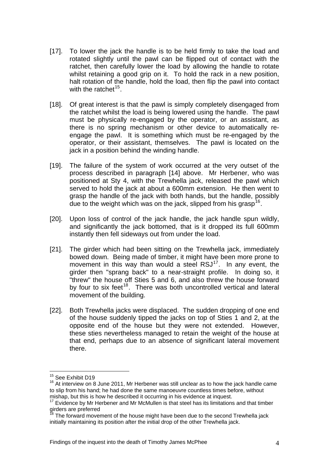- [17]. To lower the jack the handle is to be held firmly to take the load and rotated slightly until the pawl can be flipped out of contact with the ratchet, then carefully lower the load by allowing the handle to rotate whilst retaining a good grip on it. To hold the rack in a new position, halt rotation of the handle, hold the load, then flip the pawl into contact with the ratchet $15<sub>1</sub>$  $15<sub>1</sub>$
- [18]. Of great interest is that the pawl is simply completely disengaged from the ratchet whilst the load is being lowered using the handle. The pawl must be physically re-engaged by the operator, or an assistant, as there is no spring mechanism or other device to automatically reengage the pawl. It is something which must be re-engaged by the operator, or their assistant, themselves. The pawl is located on the jack in a position behind the winding handle.
- [19]. The failure of the system of work occurred at the very outset of the process described in paragraph [14] above. Mr Herbener, who was positioned at Sty 4, with the Trewhella jack, released the pawl which served to hold the jack at about a 600mm extension. He then went to grasp the handle of the jack with both hands, but the handle, possibly due to the weight which was on the jack, slipped from his grasp<sup>[16](#page-4-0)</sup>.
- [20]. Upon loss of control of the jack handle, the jack handle spun wildly, and significantly the jack bottomed, that is it dropped its full 600mm instantly then fell sideways out from under the load.
- [21]. The girder which had been sitting on the Trewhella jack, immediately bowed down. Being made of timber, it might have been more prone to movement in this way than would a steel  $\text{RSJ}^{17}$  $\text{RSJ}^{17}$  $\text{RSJ}^{17}$ . In any event, the girder then "sprang back" to a near-straight profile. In doing so, it "threw" the house off Sties 5 and 6, and also threw the house forward by four to six feet<sup>[18](#page-4-2)</sup>. There was both uncontrolled vertical and lateral movement of the building.
- [22]. Both Trewhella jacks were displaced. The sudden dropping of one end of the house suddenly tipped the jacks on top of Sties 1 and 2, at the opposite end of the house but they were not extended. However, these sties nevertheless managed to retain the weight of the house at that end, perhaps due to an absence of significant lateral movement there.

<u>.</u>

<sup>&</sup>lt;sup>15</sup> See Exhibit D19

<span id="page-4-0"></span> $16$  At interview on 8 June 2011, Mr Herbener was still unclear as to how the jack handle came to slip from his hand; he had done the same manoeuvre countless times before, without mishap, but this is how he described it occurring in his evidence at inquest.

<span id="page-4-1"></span> $17$  Evidence by Mr Herbener and Mr McMullen is that steel has its limitations and that timber girders are preferred

<span id="page-4-2"></span>The forward movement of the house might have been due to the second Trewhella jack initially maintaining its position after the initial drop of the other Trewhella jack.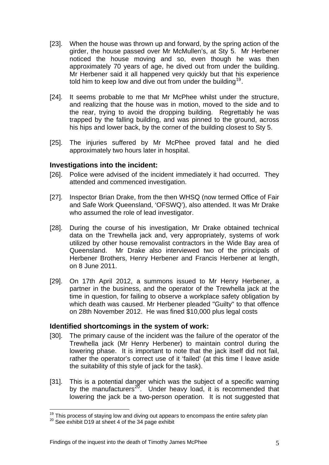- [23]. When the house was thrown up and forward, by the spring action of the girder, the house passed over Mr McMullen's, at Sty 5. Mr Herbener noticed the house moving and so, even though he was then approximately 70 years of age, he dived out from under the building. Mr Herbener said it all happened very quickly but that his experience told him to keep low and dive out from under the building<sup>[19](#page-4-2)</sup>.
- [24]. It seems probable to me that Mr McPhee whilst under the structure, and realizing that the house was in motion, moved to the side and to the rear, trying to avoid the dropping building. Regrettably he was trapped by the falling building, and was pinned to the ground, across his hips and lower back, by the corner of the building closest to Sty 5.
- [25]. The injuries suffered by Mr McPhee proved fatal and he died approximately two hours later in hospital.

#### **Investigations into the incident:**

- [26]. Police were advised of the incident immediately it had occurred. They attended and commenced investigation.
- [27]. Inspector Brian Drake, from the then WHSQ (now termed Office of Fair and Safe Work Queensland, 'OFSWQ'), also attended. It was Mr Drake who assumed the role of lead investigator.
- [28]. During the course of his investigation, Mr Drake obtained technical data on the Trewhella jack and, very appropriately, systems of work utilized by other house removalist contractors in the Wide Bay area of Queensland. Mr Drake also interviewed two of the principals of Herbener Brothers, Henry Herbener and Francis Herbener at length, on 8 June 2011.
- [29]. On 17th April 2012, a summons issued to Mr Henry Herbener, a partner in the business, and the operator of the Trewhella jack at the time in question, for failing to observe a workplace safety obligation by which death was caused. Mr Herbener pleaded "Guilty" to that offence on 28th November 2012. He was fined \$10,000 plus legal costs

#### **Identified shortcomings in the system of work:**

- [30]. The primary cause of the incident was the failure of the operator of the Trewhella jack (Mr Henry Herbener) to maintain control during the lowering phase. It is important to note that the jack itself did not fail, rather the operator's correct use of it 'failed' (at this time I leave aside the suitability of this style of jack for the task).
- [31]. This is a potential danger which was the subject of a specific warning by the manufacturers<sup>[20](#page-5-0)</sup>. Under heavy load, it is recommended that lowering the jack be a two-person operation. It is not suggested that

<u>.</u>

<sup>&</sup>lt;sup>19</sup> This process of staying low and diving out appears to encompass the entire safety plan  $^{20}$  See exhibit D19 at sheet 4 of the 34 page exhibit

<span id="page-5-0"></span>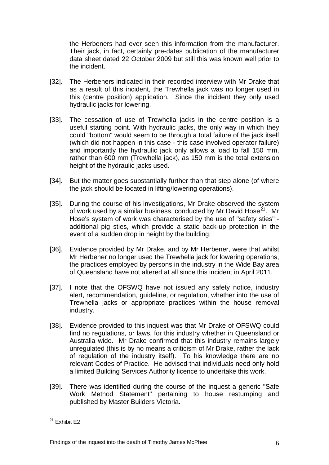the Herbeners had ever seen this information from the manufacturer. Their jack, in fact, certainly pre-dates publication of the manufacturer data sheet dated 22 October 2009 but still this was known well prior to the incident.

- [32]. The Herbeners indicated in their recorded interview with Mr Drake that as a result of this incident, the Trewhella jack was no longer used in this (centre position) application. Since the incident they only used hydraulic jacks for lowering.
- [33]. The cessation of use of Trewhella jacks in the centre position is a useful starting point. With hydraulic jacks, the only way in which they could "bottom" would seem to be through a total failure of the jack itself (which did not happen in this case - this case involved operator failure) and importantly the hydraulic jack only allows a load to fall 150 mm, rather than 600 mm (Trewhella jack), as 150 mm is the total extension height of the hydraulic jacks used.
- [34]. But the matter goes substantially further than that step alone (of where the jack should be located in lifting/lowering operations).
- [35]. During the course of his investigations, Mr Drake observed the system of work used by a similar business, conducted by Mr David Hose $^{21}$  $^{21}$  $^{21}$ . Mr Hose's system of work was characterised by the use of "safety sties" additional pig sties, which provide a static back-up protection in the event of a sudden drop in height by the building.
- [36]. Evidence provided by Mr Drake, and by Mr Herbener, were that whilst Mr Herbener no longer used the Trewhella jack for lowering operations, the practices employed by persons in the industry in the Wide Bay area of Queensland have not altered at all since this incident in April 2011.
- [37]. I note that the OFSWQ have not issued any safety notice, industry alert, recommendation, guideline, or regulation, whether into the use of Trewhella jacks or appropriate practices within the house removal industry.
- [38]. Evidence provided to this inquest was that Mr Drake of OFSWQ could find no regulations, or laws, for this industry whether in Queensland or Australia wide. Mr Drake confirmed that this industry remains largely unregulated (this is by no means a criticism of Mr Drake, rather the lack of regulation of the industry itself). To his knowledge there are no relevant Codes of Practice. He advised that individuals need only hold a limited Building Services Authority licence to undertake this work.
- [39]. There was identified during the course of the inquest a generic "Safe" Work Method Statement" pertaining to house restumping and published by Master Builders Victoria.

<span id="page-6-0"></span><sup>1</sup> <sup>21</sup> Exhibit E2

Findings of the inquest into the death of Timothy James McPhee 6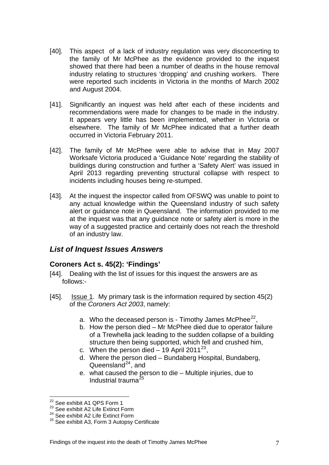- [40]. This aspect of a lack of industry regulation was very disconcerting to the family of Mr McPhee as the evidence provided to the inquest showed that there had been a number of deaths in the house removal industry relating to structures 'dropping' and crushing workers. There were reported such incidents in Victoria in the months of March 2002 and August 2004.
- [41]. Significantly an inquest was held after each of these incidents and recommendations were made for changes to be made in the industry. It appears very little has been implemented, whether in Victoria or elsewhere. The family of Mr McPhee indicated that a further death occurred in Victoria February 2011.
- [42]. The family of Mr McPhee were able to advise that in May 2007 Worksafe Victoria produced a 'Guidance Note' regarding the stability of buildings during construction and further a 'Safety Alert' was issued in April 2013 regarding preventing structural collapse with respect to incidents including houses being re-stumped.
- [43]. At the inquest the inspector called from OFSWQ was unable to point to any actual knowledge within the Queensland industry of such safety alert or guidance note in Queensland. The information provided to me at the inquest was that any guidance note or safety alert is more in the way of a suggested practice and certainly does not reach the threshold of an industry law.

# *List of Inquest Issues Answers*

## **Coroners Act s. 45(2): 'Findings'**

- [44]. Dealing with the list of issues for this inquest the answers are as follows:-
- [45]. Issue 1. My primary task is the information required by section 45(2) of the *Coroners Act 2003*, namely:
	- a. Who the deceased person is Timothy James McPhee<sup>[22](#page-6-0)</sup>,
	- b. How the person died Mr McPhee died due to operator failure of a Trewhella jack leading to the sudden collapse of a building structure then being supported, which fell and crushed him,
	- c. When the person died 19 April 2011<sup>[23](#page-7-0)</sup>,
	- d. Where the person died Bundaberg Hospital, Bundaberg, Queensland $^{24}$  $^{24}$  $^{24}$ , and
	- e. what caused the person to die Multiple injuries, due to Industrial trauma[25](#page-7-2)

1

<sup>&</sup>lt;sup>22</sup> See exhibit A1 QPS Form 1

<span id="page-7-0"></span><sup>&</sup>lt;sup>23</sup> See exhibit A2 Life Extinct Form

<span id="page-7-1"></span><sup>&</sup>lt;sup>24</sup> See exhibit A2 Life Extinct Form

<span id="page-7-2"></span><sup>&</sup>lt;sup>25</sup> See exhibit A3, Form 3 Autopsy Certificate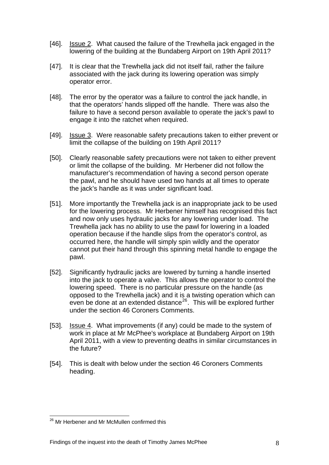- [46]. Issue 2. What caused the failure of the Trewhella jack engaged in the lowering of the building at the Bundaberg Airport on 19th April 2011?
- [47]. It is clear that the Trewhella jack did not itself fail, rather the failure associated with the jack during its lowering operation was simply operator error.
- [48]. The error by the operator was a failure to control the jack handle, in that the operators' hands slipped off the handle. There was also the failure to have a second person available to operate the jack's pawl to engage it into the ratchet when required.
- [49]. Issue 3. Were reasonable safety precautions taken to either prevent or limit the collapse of the building on 19th April 2011?
- [50]. Clearly reasonable safety precautions were not taken to either prevent or limit the collapse of the building. Mr Herbener did not follow the manufacturer's recommendation of having a second person operate the pawl, and he should have used two hands at all times to operate the jack's handle as it was under significant load.
- [51]. More importantly the Trewhella jack is an inappropriate jack to be used for the lowering process. Mr Herbener himself has recognised this fact and now only uses hydraulic jacks for any lowering under load. The Trewhella jack has no ability to use the pawl for lowering in a loaded operation because if the handle slips from the operator's control, as occurred here, the handle will simply spin wildly and the operator cannot put their hand through this spinning metal handle to engage the pawl.
- [52]. Significantly hydraulic jacks are lowered by turning a handle inserted into the jack to operate a valve. This allows the operator to control the lowering speed. There is no particular pressure on the handle (as opposed to the Trewhella jack) and it is a twisting operation which can even be done at an extended distance<sup>[26](#page-7-2)</sup>. This will be explored further under the section 46 Coroners Comments.
- [53]. Issue 4. What improvements (if any) could be made to the system of work in place at Mr McPhee's workplace at Bundaberg Airport on 19th April 2011, with a view to preventing deaths in similar circumstances in the future?
- [54]. This is dealt with below under the section 46 Coroners Comments heading.

<span id="page-8-0"></span><sup>1</sup> <sup>26</sup> Mr Herbener and Mr McMullen confirmed this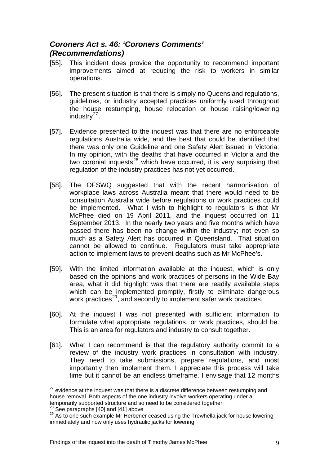# *Coroners Act s. 46: 'Coroners Comments' (Recommendations)*

- [55]. This incident does provide the opportunity to recommend important improvements aimed at reducing the risk to workers in similar operations.
- [56]. The present situation is that there is simply no Queensland regulations, guidelines, or industry accepted practices uniformly used throughout the house restumping, house relocation or house raising/lowering industry $^{27}$  $^{27}$  $^{27}$ .
- [57]. Evidence presented to the inquest was that there are no enforceable regulations Australia wide, and the best that could be identified that there was only one Guideline and one Safety Alert issued in Victoria. In my opinion, with the deaths that have occurred in Victoria and the two coronial inquests<sup>[28](#page-9-0)</sup> which have occurred, it is very surprising that regulation of the industry practices has not yet occurred.
- [58]. The OFSWQ suggested that with the recent harmonisation of workplace laws across Australia meant that there would need to be consultation Australia wide before regulations or work practices could be implemented. What I wish to highlight to regulators is that Mr McPhee died on 19 April 2011, and the inquest occurred on 11 September 2013. In the nearly two years and five months which have passed there has been no change within the industry; not even so much as a Safety Alert has occurred in Queensland. That situation cannot be allowed to continue. Regulators must take appropriate action to implement laws to prevent deaths such as Mr McPhee's.
- [59]. With the limited information available at the inquest, which is only based on the opinions and work practices of persons in the Wide Bay area, what it did highlight was that there are readily available steps which can be implemented promptly, firstly to eliminate dangerous work practices<sup>[29](#page-9-1)</sup>, and secondly to implement safer work practices.
- [60]. At the inquest I was not presented with sufficient information to formulate what appropriate regulations, or work practices, should be. This is an area for regulators and industry to consult together.
- [61]. What I can recommend is that the regulatory authority commit to a review of the industry work practices in consultation with industry. They need to take submissions, prepare regulations, and most importantly then implement them. I appreciate this process will take time but it cannot be an endless timeframe. I envisage that 12 months

1

 $27$  evidence at the inquest was that there is a discrete difference between restumping and house removal. Both aspects of the one industry involve workers operating under a temporarily supported structure and so need to be considered together  $^{28}$  See paragraphs [40] and [41] above  $^{29}$  As to one such example Mr Herbener ceased using the Trewhella jack for house lowering

<span id="page-9-0"></span>

<span id="page-9-1"></span>immediately and now only uses hydraulic jacks for lowering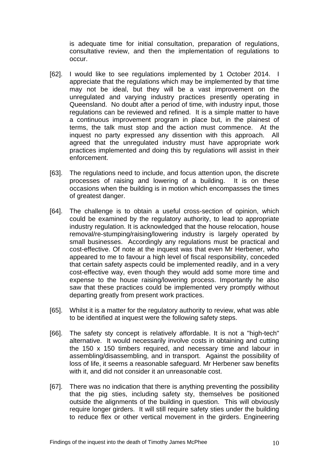is adequate time for initial consultation, preparation of regulations, consultative review, and then the implementation of regulations to occur.

- [62]. I would like to see regulations implemented by 1 October 2014. I appreciate that the regulations which may be implemented by that time may not be ideal, but they will be a vast improvement on the unregulated and varying industry practices presently operating in Queensland. No doubt after a period of time, with industry input, those regulations can be reviewed and refined. It is a simple matter to have a continuous improvement program in place but, in the plainest of terms, the talk must stop and the action must commence. At the inquest no party expressed any dissention with this approach. All agreed that the unregulated industry must have appropriate work practices implemented and doing this by regulations will assist in their enforcement.
- [63]. The regulations need to include, and focus attention upon, the discrete processes of raising and lowering of a building. It is on these occasions when the building is in motion which encompasses the times of greatest danger.
- [64]. The challenge is to obtain a useful cross-section of opinion, which could be examined by the regulatory authority, to lead to appropriate industry regulation. It is acknowledged that the house relocation, house removal/re-stumping/raising/lowering industry is largely operated by small businesses. Accordingly any regulations must be practical and cost-effective. Of note at the inquest was that even Mr Herbener, who appeared to me to favour a high level of fiscal responsibility, conceded that certain safety aspects could be implemented readily, and in a very cost-effective way, even though they would add some more time and expense to the house raising/lowering process. Importantly he also saw that these practices could be implemented very promptly without departing greatly from present work practices.
- [65]. Whilst it is a matter for the regulatory authority to review, what was able to be identified at inquest were the following safety steps.
- [66]. The safety sty concept is relatively affordable. It is not a "high-tech" alternative. It would necessarily involve costs in obtaining and cutting the 150 x 150 timbers required, and necessary time and labour in assembling/disassembling, and in transport. Against the possibility of loss of life, it seems a reasonable safeguard. Mr Herbener saw benefits with it, and did not consider it an unreasonable cost.
- [67]. There was no indication that there is anything preventing the possibility that the pig sties, including safety sty, themselves be positioned outside the alignments of the building in question. This will obviously require longer girders. It will still require safety sties under the building to reduce flex or other vertical movement in the girders. Engineering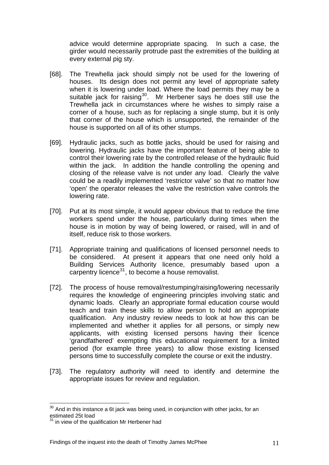advice would determine appropriate spacing. In such a case, the girder would necessarily protrude past the extremities of the building at every external pig sty.

- [68]. The Trewhella jack should simply not be used for the lowering of houses. Its design does not permit any level of appropriate safety when it is lowering under load. Where the load permits they may be a suitable jack for raising<sup>[30](#page-9-0)</sup>. Mr Herbener says he does still use the Trewhella jack in circumstances where he wishes to simply raise a corner of a house, such as for replacing a single stump, but it is only that corner of the house which is unsupported, the remainder of the house is supported on all of its other stumps.
- [69]. Hydraulic jacks, such as bottle jacks, should be used for raising and lowering. Hydraulic jacks have the important feature of being able to control their lowering rate by the controlled release of the hydraulic fluid within the jack. In addition the handle controlling the opening and closing of the release valve is not under any load. Clearly the valve could be a readily implemented 'restrictor valve' so that no matter how 'open' the operator releases the valve the restriction valve controls the lowering rate.
- [70]. Put at its most simple, it would appear obvious that to reduce the time workers spend under the house, particularly during times when the house is in motion by way of being lowered, or raised, will in and of itself, reduce risk to those workers.
- [71]. Appropriate training and qualifications of licensed personnel needs to be considered. At present it appears that one need only hold a Building Services Authority licence, presumably based upon a carpentry licence $31$ , to become a house removalist.
- [72]. The process of house removal/restumping/raising/lowering necessarily requires the knowledge of engineering principles involving static and dynamic loads. Clearly an appropriate formal education course would teach and train these skills to allow person to hold an appropriate qualification. Any industry review needs to look at how this can be implemented and whether it applies for all persons, or simply new applicants, with existing licensed persons having their licence 'grandfathered' exempting this educational requirement for a limited period (for example three years) to allow those existing licensed persons time to successfully complete the course or exit the industry.
- [73]. The regulatory authority will need to identify and determine the appropriate issues for review and regulation.

1

 $30$  And in this instance a 6t jack was being used, in conjunction with other jacks, for an estimated 25t load

<span id="page-11-0"></span><sup>&</sup>lt;sup>31</sup> in view of the qualification Mr Herbener had